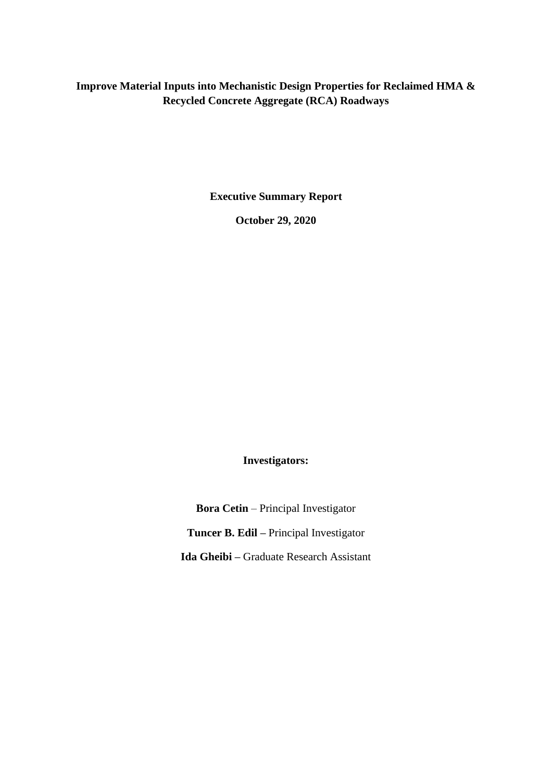## **Improve Material Inputs into Mechanistic Design Properties for Reclaimed HMA & Recycled Concrete Aggregate (RCA) Roadways**

**Executive Summary Report**

**October 29, 2020**

**Investigators:**

**Bora Cetin** – Principal Investigator **Tuncer B. Edil –** Principal Investigator **Ida Gheibi –** Graduate Research Assistant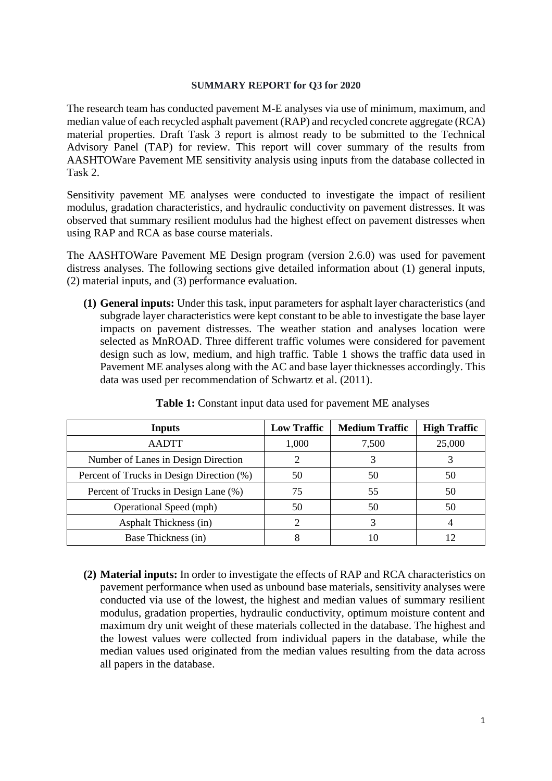## **SUMMARY REPORT for Q3 for 2020**

The research team has conducted pavement M-E analyses via use of minimum, maximum, and median value of each recycled asphalt pavement (RAP) and recycled concrete aggregate (RCA) material properties. Draft Task 3 report is almost ready to be submitted to the Technical Advisory Panel (TAP) for review. This report will cover summary of the results from AASHTOWare Pavement ME sensitivity analysis using inputs from the database collected in Task 2.

Sensitivity pavement ME analyses were conducted to investigate the impact of resilient modulus, gradation characteristics, and hydraulic conductivity on pavement distresses. It was observed that summary resilient modulus had the highest effect on pavement distresses when using RAP and RCA as base course materials.

The AASHTOWare Pavement ME Design program (version 2.6.0) was used for pavement distress analyses. The following sections give detailed information about (1) general inputs, (2) material inputs, and (3) performance evaluation.

**(1) General inputs:** Under this task, input parameters for asphalt layer characteristics (and subgrade layer characteristics were kept constant to be able to investigate the base layer impacts on pavement distresses. The weather station and analyses location were selected as MnROAD. Three different traffic volumes were considered for pavement design such as low, medium, and high traffic. Table 1 shows the traffic data used in Pavement ME analyses along with the AC and base layer thicknesses accordingly. This data was used per recommendation of Schwartz et al. (2011).

| <b>Inputs</b>                             | <b>Low Traffic</b> | <b>Medium Traffic</b> | <b>High Traffic</b> |
|-------------------------------------------|--------------------|-----------------------|---------------------|
| <b>AADTT</b>                              | 1,000              | 7,500                 | 25,000              |
| Number of Lanes in Design Direction       |                    |                       |                     |
| Percent of Trucks in Design Direction (%) | 50                 | 50                    | 50                  |
| Percent of Trucks in Design Lane (%)      | 75                 | 55                    | 50                  |
| Operational Speed (mph)                   | 50                 | 50                    | 50                  |
| <b>Asphalt Thickness (in)</b>             |                    |                       |                     |
| Base Thickness (in)                       |                    |                       |                     |

**Table 1:** Constant input data used for pavement ME analyses

**(2) Material inputs:** In order to investigate the effects of RAP and RCA characteristics on pavement performance when used as unbound base materials, sensitivity analyses were conducted via use of the lowest, the highest and median values of summary resilient modulus, gradation properties, hydraulic conductivity, optimum moisture content and maximum dry unit weight of these materials collected in the database. The highest and the lowest values were collected from individual papers in the database, while the median values used originated from the median values resulting from the data across all papers in the database.